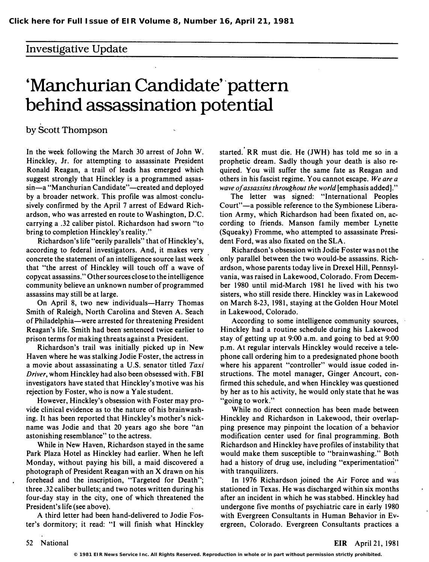## Investigative Update

## 'Manchurian Candidate' 'pattern behind assassination potential

by Scott Thompson

In the week following the March 30 arrest of John W. Hinckley, Jr. for attempting to assassinate President Ronald Reagan, a trail of leads has emerged which suggest strongly that Hinckley is a programmed assassin-a "Manchurian Candidate"-created and deployed by a broader network. This profile was almost conclusively confirmed by the April 7 arrest of Edward Richardson, who was arrested en route to Washington, D.C. carrying a .32 caliber pistol. Richardson had sworn "to . bring to completion Hinckley's reality."

Richardson's life "eerily parallels" that of Hinckley's, according to federal investigators. And, it makes very concrete the statement of an intelligence source last week that "the arrest of Hinckley will touch off a wave of copycat assassins." Other sources close to the intelligence community believe an unknown number of programmed assassins may still be at large.

On April 8, two new individuals-Harry Thomas Smith of Raleigh, North Carolina and Steven A. Seach of Philadelphia-were arrested for threatening President Reagan's life. Smith had been sentenced twice earlier to prison terms for making threats against a President.

Richardson's trail was initially picked up in New Haven where he was stalking Jodie Foster, the actress in a movie about assassinating a U.S. senator titled Taxi Driver, whom Hinckley had also been obsessed with. FBI investigators have stated that Hinckley's motive was his rejection by Foster, who is now a Yale student.

However, Hinckley's obsession with Foster may provide clinical evidence as to the nature of his brainwashing. It has been reported that Hinckley's mother's nickname was Jodie and that 20 years ago she bore "an astonishing resemblance" to the actress.

While in New Haven, Richardson stayed in the same Park Plaza Hotel as Hinckley had earlier. When he left Monday, without paying his bill, a maid discovered a photograph of President Reagan with an  $X$  drawn on his forehead and the inscription, "Targeted for Death"; three .32 caliber bullets; and two notes written during his four-day stay in the city, one of which threatened the President's life (see above).

A third letter had been hand-delivered to Jodie Foster's dormitory; it read: "I will finish what Hinckley started. RR must die. He (JWH) has told me so in a prophetic dream. Sadly though your death is also required. You will suffer the same fate as Reagan and others in his fascist regime. You cannot escape. We are a wave of assassins throughout the world [emphasis added]."

The letter was signed: "International Peoples Court"—a possible reference to the Symbionese Liberation Army, which Richardson had been fixated on, according to friends. Manson family member Lynette (Squeaky) Fromme, who attempted to assassinate President Ford, was also fixated on the SLA.

Richardson's obsession with Jodie Foster was not the only parallel between the two would-be assassins. Richardson, whose parents today live in Drexel Hill, Pennsylvania, was raised in Lakewood, Colorado. From December 1980 until mid-March 1981 he lived with his two sisters, who still reside there. Hinckley was in Lakewood on March 8-23, 1981, staying at the Golden Hour Motel in Lakewood, Colorado.

According to some intelligence community sources, Hinckley had a routine schedule during his Lakewood stay of getting up at 9:00 a.m. and going to bed at 9:00 p.m. At regular intervals Hinckley would receive a telephone call ordering him to a predesignated phone booth where his apparent "controller" would issue coded instructions. The motel manager, Ginger Ancourt, confirmed this schedule, and when Hinckley was questioned by her as to his activity, he would only state that he was "going to work."

While no direct connection has been made between Hinckley and Richardson in Lakewood, their overlapping presence may pinpoint the location of a behavior modification center used for final programming. Both Richardson and Hinckley have profiles of instability that would make them susceptible to "brainwashing." Both had a history of drug use, including "experimentation" with tranquilizers.

In 1976 Richardson joined the Air Force and was stationed in Texas. He was discharged within six months after an incident in which he was stabbed. Hinckley had undergone five months of psychiatric care in early 1980 with Evergreen Consultants in Human Behavior in Evergreen, Colorado. Evergreen Consultants practices a